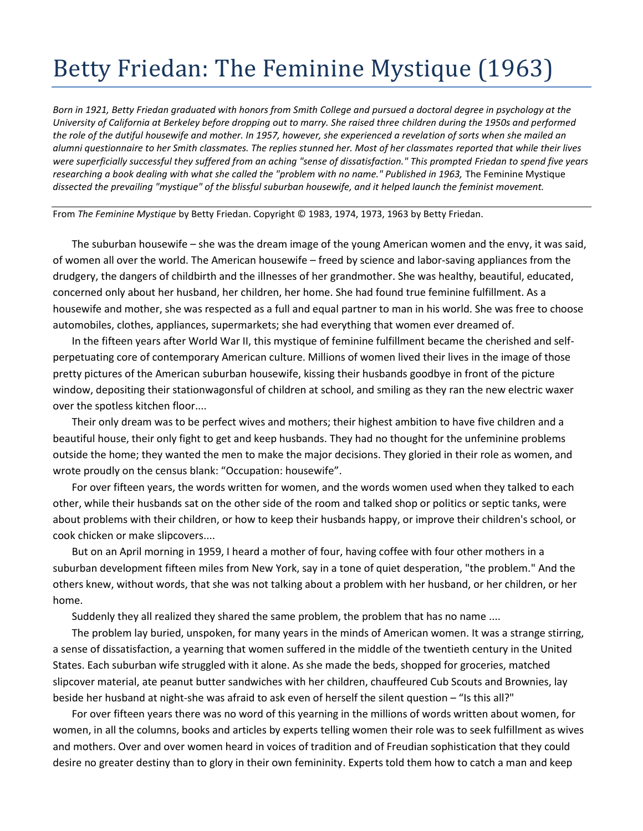## Betty Friedan: The Feminine Mystique (1963)

*Born in 1921, Betty Friedan graduated with honors from Smith College and pursued a doctoral degree in psychology at the University of California at Berkeley before dropping out to marry. She raised three children during the 1950s and performed the role of the dutiful housewife and mother. In 1957, however, she experienced a revelation of sorts when she mailed an alumni questionnaire to her Smith classmates. The replies stunned her. Most of her classmates reported that while their lives were superficially successful they suffered from an aching "sense of dissatisfaction." This prompted Friedan to spend five years researching a book dealing with what she called the "problem with no name." Published in 1963,* The Feminine Mystique *dissected the prevailing "mystique" of the blissful suburban housewife, and it helped launch the feminist movement.*

From *The Feminine Mystique* by Betty Friedan. Copyright © 1983, 1974, 1973, 1963 by Betty Friedan.

The suburban housewife – she was the dream image of the young American women and the envy, it was said, of women all over the world. The American housewife – freed by science and labor-saving appliances from the drudgery, the dangers of childbirth and the illnesses of her grandmother. She was healthy, beautiful, educated, concerned only about her husband, her children, her home. She had found true feminine fulfillment. As a housewife and mother, she was respected as a full and equal partner to man in his world. She was free to choose automobiles, clothes, appliances, supermarkets; she had everything that women ever dreamed of.

In the fifteen years after World War II, this mystique of feminine fulfillment became the cherished and selfperpetuating core of contemporary American culture. Millions of women lived their lives in the image of those pretty pictures of the American suburban housewife, kissing their husbands goodbye in front of the picture window, depositing their stationwagonsful of children at school, and smiling as they ran the new electric waxer over the spotless kitchen floor....

Their only dream was to be perfect wives and mothers; their highest ambition to have five children and a beautiful house, their only fight to get and keep husbands. They had no thought for the unfeminine problems outside the home; they wanted the men to make the major decisions. They gloried in their role as women, and wrote proudly on the census blank: "Occupation: housewife".

For over fifteen years, the words written for women, and the words women used when they talked to each other, while their husbands sat on the other side of the room and talked shop or politics or septic tanks, were about problems with their children, or how to keep their husbands happy, or improve their children's school, or cook chicken or make slipcovers....

But on an April morning in 1959, I heard a mother of four, having coffee with four other mothers in a suburban development fifteen miles from New York, say in a tone of quiet desperation, "the problem." And the others knew, without words, that she was not talking about a problem with her husband, or her children, or her home.

Suddenly they all realized they shared the same problem, the problem that has no name ....

The problem lay buried, unspoken, for many years in the minds of American women. It was a strange stirring, a sense of dissatisfaction, a yearning that women suffered in the middle of the twentieth century in the United States. Each suburban wife struggled with it alone. As she made the beds, shopped for groceries, matched slipcover material, ate peanut butter sandwiches with her children, chauffeured Cub Scouts and Brownies, lay beside her husband at night-she was afraid to ask even of herself the silent question – "Is this all?"

For over fifteen years there was no word of this yearning in the millions of words written about women, for women, in all the columns, books and articles by experts telling women their role was to seek fulfillment as wives and mothers. Over and over women heard in voices of tradition and of Freudian sophistication that they could desire no greater destiny than to glory in their own femininity. Experts told them how to catch a man and keep